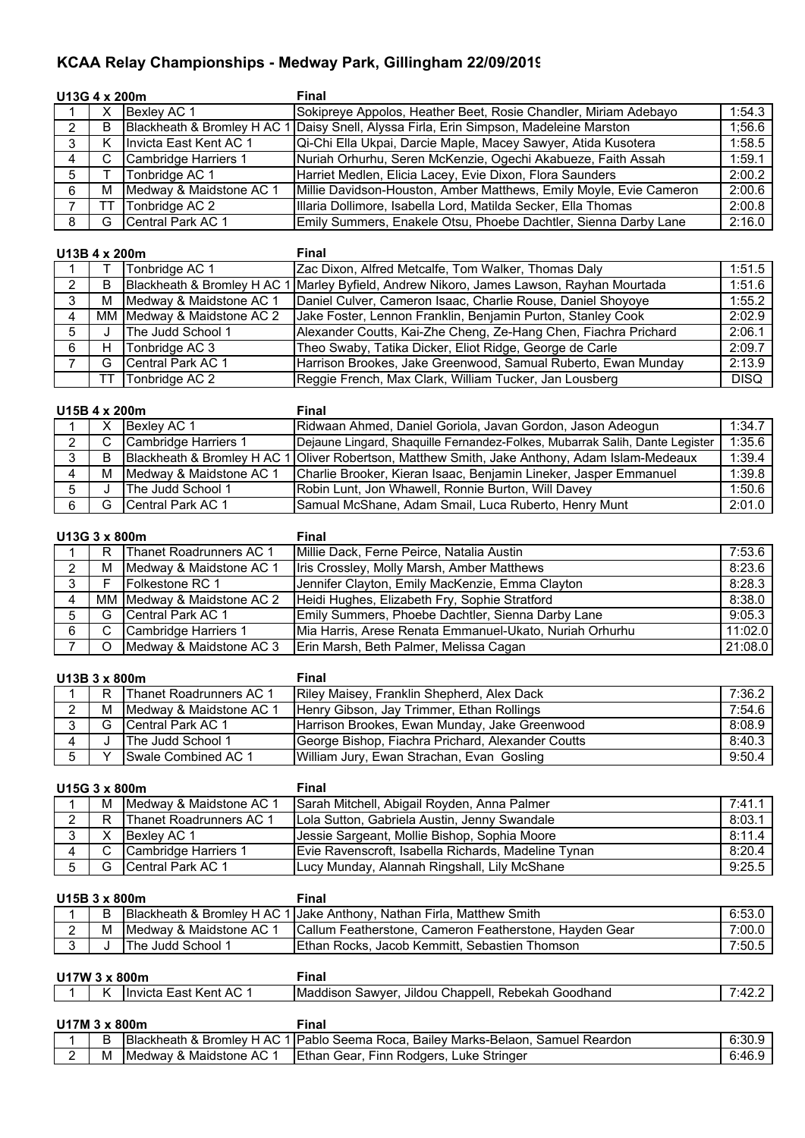## **KCAA Relay Championships - Medway Park, Gillingham 22/09/2019**

|   | U13G 4 x 200m |                             | Final                                                              |        |
|---|---------------|-----------------------------|--------------------------------------------------------------------|--------|
|   | х             | Bexley AC 1                 | Sokipreye Appolos, Heather Beet, Rosie Chandler, Miriam Adebayo    | 1:54.3 |
| 2 | в             | Blackheath & Bromley H AC 1 | I Daisy Snell, Alyssa Firla, Erin Simpson, Madeleine Marston       | 1:56.6 |
| 3 |               | Invicta East Kent AC 1      | Qi-Chi Ella Ukpai, Darcie Maple, Macey Sawyer, Atida Kusotera      | 1:58.5 |
| 4 |               | Cambridge Harriers 1        | Nuriah Orhurhu, Seren McKenzie, Ogechi Akabueze, Faith Assah       | 1:59.1 |
| 5 |               | Tonbridge AC 1              | Harriet Medlen, Elicia Lacey, Evie Dixon, Flora Saunders           | 2:00.2 |
| 6 | м             | Medway & Maidstone AC 1     | Millie Davidson-Houston, Amber Matthews, Emily Moyle, Evie Cameron | 2:00.6 |
|   |               | Tonbridge AC 2              | Illaria Dollimore, Isabella Lord, Matilda Secker, Ella Thomas      | 2:00.8 |
| 8 | G             | <b>ICentral Park AC 1</b>   | Emily Summers, Enakele Otsu, Phoebe Dachtler, Sienna Darby Lane    | 2:16.0 |

|                | U13B 4 x 200m |                             | <b>Final</b>                                                    |             |
|----------------|---------------|-----------------------------|-----------------------------------------------------------------|-------------|
|                |               | Tonbridge AC 1              | Zac Dixon, Alfred Metcalfe, Tom Walker, Thomas Daly             | 1:51.5      |
| 2              | B             | Blackheath & Bromley H AC 1 | 1 Marley Byfield, Andrew Nikoro, James Lawson, Rayhan Mourtada  | 1:51.6      |
| $\mathbf{3}$   |               | M Medway & Maidstone AC 1   | Daniel Culver, Cameron Isaac, Charlie Rouse, Daniel Shoyoye     | 1:55.2      |
| $\overline{4}$ |               | MM Medway & Maidstone AC 2  | Jake Foster, Lennon Franklin, Benjamin Purton, Stanley Cook     | 2:02.9      |
| 5              |               | The Judd School 1           | Alexander Coutts, Kai-Zhe Cheng, Ze-Hang Chen, Fiachra Prichard | 2:06.1      |
| 6              |               | Tonbridge AC 3              | Theo Swaby, Tatika Dicker, Eliot Ridge, George de Carle         | 2:09.7      |
|                | G             | Central Park AC 1           | Harrison Brookes, Jake Greenwood, Samual Ruberto, Ewan Munday   | 2:13.9      |
|                | тт            | Tonbridge AC 2              | Reggie French, Max Clark, William Tucker, Jan Lousberg          | <b>DISQ</b> |

## **U15B 4 x 200m Final**

|   | U 19D 4 X ZUUIII |                          | гшаг                                                                                          |        |
|---|------------------|--------------------------|-----------------------------------------------------------------------------------------------|--------|
|   |                  | Bexley AC 1              | Ridwaan Ahmed, Daniel Goriola, Javan Gordon, Jason Adeogun                                    | 1:34.7 |
| 2 |                  | Cambridge Harriers 1     | Dejaune Lingard, Shaquille Fernandez-Folkes, Mubarrak Salih, Dante Legister                   | 1:35.6 |
| 3 |                  |                          | Blackheath & Bromley H AC 1 Oliver Robertson, Matthew Smith, Jake Anthony, Adam Islam-Medeaux | 1:39.4 |
|   | м                | Medway & Maidstone AC 1  | Charlie Brooker, Kieran Isaac, Benjamin Lineker, Jasper Emmanuel                              | 1:39.8 |
| 5 |                  | The Judd School 1        | Robin Lunt, Jon Whawell, Ronnie Burton, Will Davey                                            | 1:50.6 |
| 6 |                  | <b>Central Park AC 1</b> | Samual McShane, Adam Smail, Luca Ruberto, Henry Munt                                          | 2:01.0 |

| U13G 3 x 800m  |    |                                | Final                                                   |         |
|----------------|----|--------------------------------|---------------------------------------------------------|---------|
|                | R. | <b>Thanet Roadrunners AC 1</b> | Millie Dack, Ferne Peirce, Natalia Austin               | 7:53.6  |
| $\sim$ 2       |    | M Medway & Maidstone AC 1      | Iris Crossley, Molly Marsh, Amber Matthews              | 8:23.6  |
| 3 <sup>1</sup> | F  | <b>IFolkestone RC 1</b>        | Jennifer Clayton, Emily MacKenzie, Emma Clayton         | 8:28.3  |
| $\overline{4}$ |    | MM Medway & Maidstone AC 2     | Heidi Hughes, Elizabeth Fry, Sophie Stratford           | 8:38.0  |
| 5 <sup>5</sup> |    | G Central Park AC 1            | Emily Summers, Phoebe Dachtler, Sienna Darby Lane       | 9:05.3  |
| 6              | C. | Cambridge Harriers 1           | Mia Harris, Arese Renata Emmanuel-Ukato, Nuriah Orhurhu | 11:02.0 |
|                | O  | Medway & Maidstone AC 3        | Erin Marsh, Beth Palmer, Melissa Cagan                  | 21:08.0 |

| U13B 3 x 800m  |  |                           | Final                                             |            |
|----------------|--|---------------------------|---------------------------------------------------|------------|
|                |  | R Thanet Roadrunners AC 1 | Riley Maisey, Franklin Shepherd, Alex Dack        | $7:36.2$ 1 |
| $2^{\circ}$    |  | M Medway & Maidstone AC 1 | Henry Gibson, Jay Trimmer, Ethan Rollings         | 7:54.6     |
| 3              |  | G Central Park AC 1       | Harrison Brookes, Ewan Munday, Jake Greenwood     | $8:08.9$ 1 |
| $\overline{4}$ |  | The Judd School 1         | George Bishop, Fiachra Prichard, Alexander Coutts | 8:40.3     |
| 5              |  | Swale Combined AC 1       | William Jury, Ewan Strachan, Evan Gosling         | $9:50.4$   |

| U15G 3 x 800m |   |                                | Final                                               |        |
|---------------|---|--------------------------------|-----------------------------------------------------|--------|
|               | м | Medway & Maidstone AC 1        | Sarah Mitchell, Abigail Royden, Anna Palmer         | 7:41.1 |
| $\mathbf{2}$  | R | <b>Thanet Roadrunners AC 1</b> | Lola Sutton, Gabriela Austin, Jenny Swandale        | 8:03.1 |
| 3             |   | Bexley AC 1                    | Jessie Sargeant, Mollie Bishop, Sophia Moore        | 8:11.4 |
| 4             |   | Cambridge Harriers 1           | Evie Ravenscroft, Isabella Richards, Madeline Tynan | 8:20.4 |
|               | G | <b>ICentral Park AC 1</b>      | Lucy Munday, Alannah Ringshall, Lily McShane        | 9:25.5 |

| U15B 3 x 800m |   |                            | Final                                                                 |        |
|---------------|---|----------------------------|-----------------------------------------------------------------------|--------|
|               | В |                            | Blackheath & Bromley H AC 1 Jake Anthony, Nathan Firla, Matthew Smith | 6:53.0 |
| $\sim$        |   | M IMedway & Maidstone AC 1 | Callum Featherstone, Cameron Featherstone, Hayden Gear                | 7:00.0 |
|               |   | <b>The Judd School 1</b>   | Ethan Rocks, Jacob Kemmitt, Sebastien Thomson                         | 7:50.5 |

| U17W 3 x 800m |   |                        | Final                                              |        |
|---------------|---|------------------------|----------------------------------------------------|--------|
|               | Κ | Invicta East Kent AC 1 | Maddison Sawyer, Jildou Chappell, Rebekah Goodhand | 7.42.4 |
|               |   |                        |                                                    |        |
| U17M 3 x 800m |   |                        | Final                                              |        |

|   | . Blackheath<br>` AL<br>Bromley<br>$\alpha$ | <b>IPablo</b><br>Reardon<br>Seema<br>Marks-Belaon.<br>Samuel<br>Roca<br>. Bailev | . .<br>υ. υ |
|---|---------------------------------------------|----------------------------------------------------------------------------------|-------------|
| M | Maidstone<br>IMedwav<br>AC.<br>$\sim$       | <b>Stringer</b><br>thar<br>-ınr<br>. Rodaers<br>uke<br>Gear<br>-                 | 7.6         |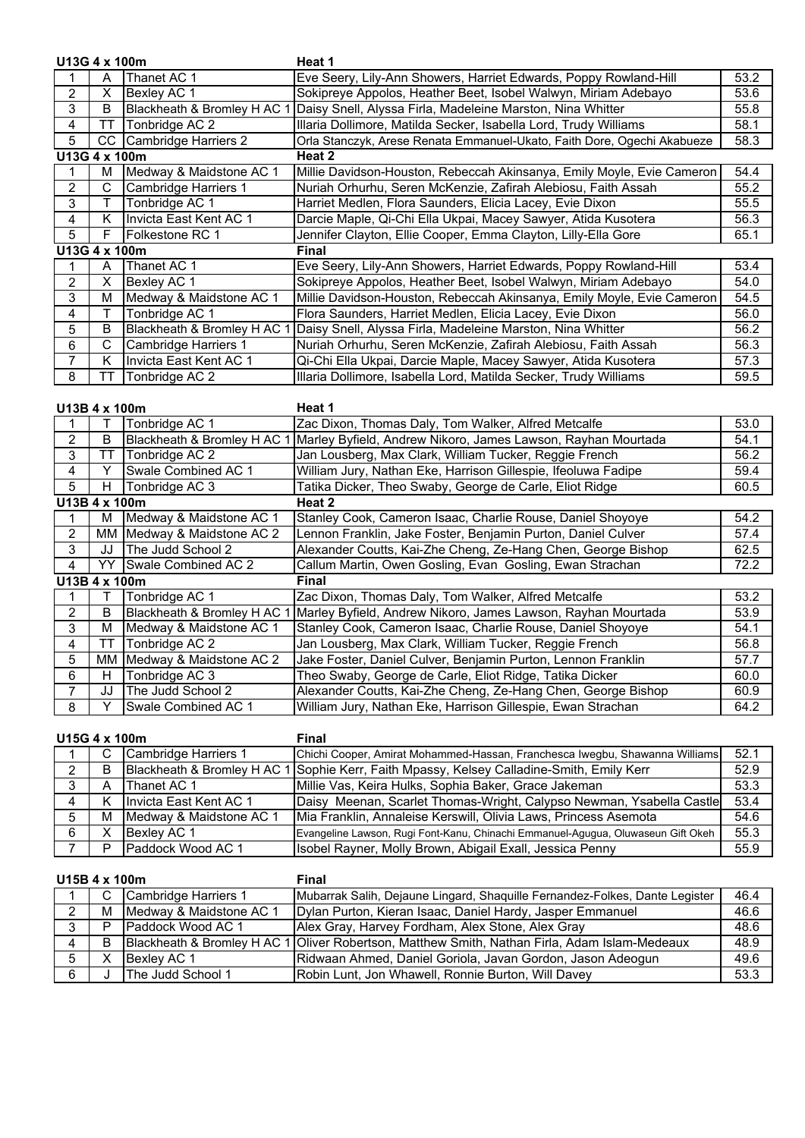|                | U13G 4 x 100m |                             | Heat 1                                                                  |      |
|----------------|---------------|-----------------------------|-------------------------------------------------------------------------|------|
|                | A             | Thanet AC 1                 | Eve Seery, Lily-Ann Showers, Harriet Edwards, Poppy Rowland-Hill        | 53.2 |
| 2              | X             | Bexley AC 1                 | Sokipreye Appolos, Heather Beet, Isobel Walwyn, Miriam Adebayo          | 53.6 |
| 3              | в             | Blackheath & Bromley H AC   | Daisy Snell, Alyssa Firla, Madeleine Marston, Nina Whitter              | 55.8 |
| 4              | TТ            | Tonbridge AC 2              | Illaria Dollimore, Matilda Secker, Isabella Lord, Trudy Williams        | 58.1 |
| 5              | CC.           | Cambridge Harriers 2        | Orla Stanczyk, Arese Renata Emmanuel-Ukato, Faith Dore, Ogechi Akabueze | 58.3 |
|                | U13G 4 x 100m |                             | Heat 2                                                                  |      |
|                | М             | Medway & Maidstone AC 1     | Millie Davidson-Houston, Rebeccah Akinsanya, Emily Moyle, Evie Cameron  | 54.4 |
| $\overline{2}$ | C             | Cambridge Harriers 1        | Nuriah Orhurhu, Seren McKenzie, Zafirah Alebiosu, Faith Assah           | 55.2 |
| 3              |               | Tonbridge AC 1              | Harriet Medlen, Flora Saunders, Elicia Lacey, Evie Dixon                | 55.5 |
| 4              | K             | Invicta East Kent AC 1      | Darcie Maple, Qi-Chi Ella Ukpai, Macey Sawyer, Atida Kusotera           | 56.3 |
| 5              | F             | Folkestone RC 1             | Jennifer Clayton, Ellie Cooper, Emma Clayton, Lilly-Ella Gore           | 65.1 |
|                | U13G 4 x 100m |                             | <b>Final</b>                                                            |      |
|                | Α             | Thanet AC 1                 | Eve Seery, Lily-Ann Showers, Harriet Edwards, Poppy Rowland-Hill        | 53.4 |
| $\overline{2}$ | X             | Bexley AC 1                 | Sokipreye Appolos, Heather Beet, Isobel Walwyn, Miriam Adebayo          | 54.0 |
| 3              | м             | Medway & Maidstone AC 1     | Millie Davidson-Houston, Rebeccah Akinsanya, Emily Moyle, Evie Cameron  | 54.5 |
| 4              |               | Tonbridge AC 1              | Flora Saunders, Harriet Medlen, Elicia Lacey, Evie Dixon                | 56.0 |
| 5              | B             | Blackheath & Bromley H AC 1 | Daisy Snell, Alyssa Firla, Madeleine Marston, Nina Whitter              | 56.2 |
| 6              | С             | Cambridge Harriers 1        | Nuriah Orhurhu, Seren McKenzie, Zafirah Alebiosu, Faith Assah           | 56.3 |
| 7              | Κ             | Invicta East Kent AC 1      | Qi-Chi Ella Ukpai, Darcie Maple, Macey Sawyer, Atida Kusotera           | 57.3 |
| 8              | TТ            | Tonbridge AC 2              | Illaria Dollimore, Isabella Lord, Matilda Secker, Trudy Williams        | 59.5 |

| 1113R 4x 100m |  |  |  |
|---------------|--|--|--|

**Heat 1** 

|                |               | Tonbridge AC 1              | Zac Dixon, Thomas Daly, Tom Walker, Alfred Metcalfe           | 53.0 |
|----------------|---------------|-----------------------------|---------------------------------------------------------------|------|
| $\overline{2}$ | B             | Blackheath & Bromley H AC 1 | Marley Byfield, Andrew Nikoro, James Lawson, Rayhan Mourtada  | 54.1 |
| 3              | TТ            | Tonbridge AC 2              | Jan Lousberg, Max Clark, William Tucker, Reggie French        | 56.2 |
| 4              |               | Swale Combined AC 1         | William Jury, Nathan Eke, Harrison Gillespie, Ifeoluwa Fadipe | 59.4 |
| 5              | н             | Tonbridge AC 3              | Tatika Dicker, Theo Swaby, George de Carle, Eliot Ridge       | 60.5 |
| U13B 4 x 100m  |               |                             | Heat 2                                                        |      |
|                | м             | Medway & Maidstone AC 1     | Stanley Cook, Cameron Isaac, Charlie Rouse, Daniel Shoyoye    | 54.2 |
| $\mathcal{P}$  |               | MM Medway & Maidstone AC 2  | Lennon Franklin, Jake Foster, Benjamin Purton, Daniel Culver  | 57.4 |
| 3              | JJ            | The Judd School 2           | Alexander Coutts, Kai-Zhe Cheng, Ze-Hang Chen, George Bishop  | 62.5 |
| 4              | YY.           | Swale Combined AC 2         | Callum Martin, Owen Gosling, Evan Gosling, Ewan Strachan      | 72.2 |
|                | U13B 4 x 100m |                             | Final                                                         |      |
|                |               | Tonbridge AC 1              | Zac Dixon, Thomas Daly, Tom Walker, Alfred Metcalfe           | 53.2 |
| $\overline{2}$ | B             | Blackheath & Bromley H AC 1 | Marley Byfield, Andrew Nikoro, James Lawson, Rayhan Mourtada  | 53.9 |
| 3              | м             | Medway & Maidstone AC 1     | Stanley Cook, Cameron Isaac, Charlie Rouse, Daniel Shoyoye    | 54.1 |
| 4              | TТ            | Tonbridge AC 2              | Jan Lousberg, Max Clark, William Tucker, Reggie French        | 56.8 |
| 5              |               | MM Medway & Maidstone AC 2  | Jake Foster, Daniel Culver, Benjamin Purton, Lennon Franklin  | 57.7 |
| 6              | н             | Tonbridge AC 3              | Theo Swaby, George de Carle, Eliot Ridge, Tatika Dicker       | 60.0 |
| 7              | JJ            | The Judd School 2           | Alexander Coutts, Kai-Zhe Cheng, Ze-Hang Chen, George Bishop  | 60.9 |
| 8              |               | <b>Swale Combined AC 1</b>  | William Jury, Nathan Eke, Harrison Gillespie, Ewan Strachan   | 64.2 |

**U15G 4 x 100m Final**

|   |   | Cambridge Harriers 1        | Chichi Cooper, Amirat Mohammed-Hassan, Franchesca Iwegbu, Shawanna Williams      | 52.1 |
|---|---|-----------------------------|----------------------------------------------------------------------------------|------|
|   | в | Blackheath & Bromley H AC 1 | I Sophie Kerr, Faith Mpassy, Kelsey Calladine-Smith, Emily Kerr                  | 52.9 |
|   |   | Thanet AC 1                 | Millie Vas, Keira Hulks, Sophia Baker, Grace Jakeman                             | 53.3 |
|   |   | Invicta East Kent AC 1      | Daisy Meenan, Scarlet Thomas-Wright, Calypso Newman, Ysabella Castle             | 53.4 |
| 5 | м | Medway & Maidstone AC 1     | Mia Franklin, Annaleise Kerswill, Olivia Laws, Princess Asemota                  | 54.6 |
| 6 |   | Bexley AC 1                 | Evangeline Lawson, Rugi Font-Kanu, Chinachi Emmanuel-Agugua, Oluwaseun Gift Okeh | 55.3 |
|   |   | Paddock Wood AC 1           | Isobel Rayner, Molly Brown, Abigail Exall, Jessica Penny                         | 55.9 |

| U15B 4 x 100m |   |                          | Final                                                                                         |      |
|---------------|---|--------------------------|-----------------------------------------------------------------------------------------------|------|
|               |   | Cambridge Harriers 1     | Mubarrak Salih, Dejaune Lingard, Shaquille Fernandez-Folkes, Dante Legister                   | 46.4 |
| 2             | м | Medway & Maidstone AC 1  | Dylan Purton, Kieran Isaac, Daniel Hardy, Jasper Emmanuel                                     | 46.6 |
|               |   | <b>Paddock Wood AC 1</b> | Alex Gray, Harvey Fordham, Alex Stone, Alex Gray                                              | 48.6 |
| 4             | в |                          | Blackheath & Bromley H AC 1 Oliver Robertson, Matthew Smith, Nathan Firla, Adam Islam-Medeaux | 48.9 |
| 5             |   | Bexley AC 1              | Ridwaan Ahmed, Daniel Goriola, Javan Gordon, Jason Adeogun                                    | 49.6 |
| 6             |   | The Judd School 1        | Robin Lunt, Jon Whawell, Ronnie Burton, Will Davey                                            | 53.3 |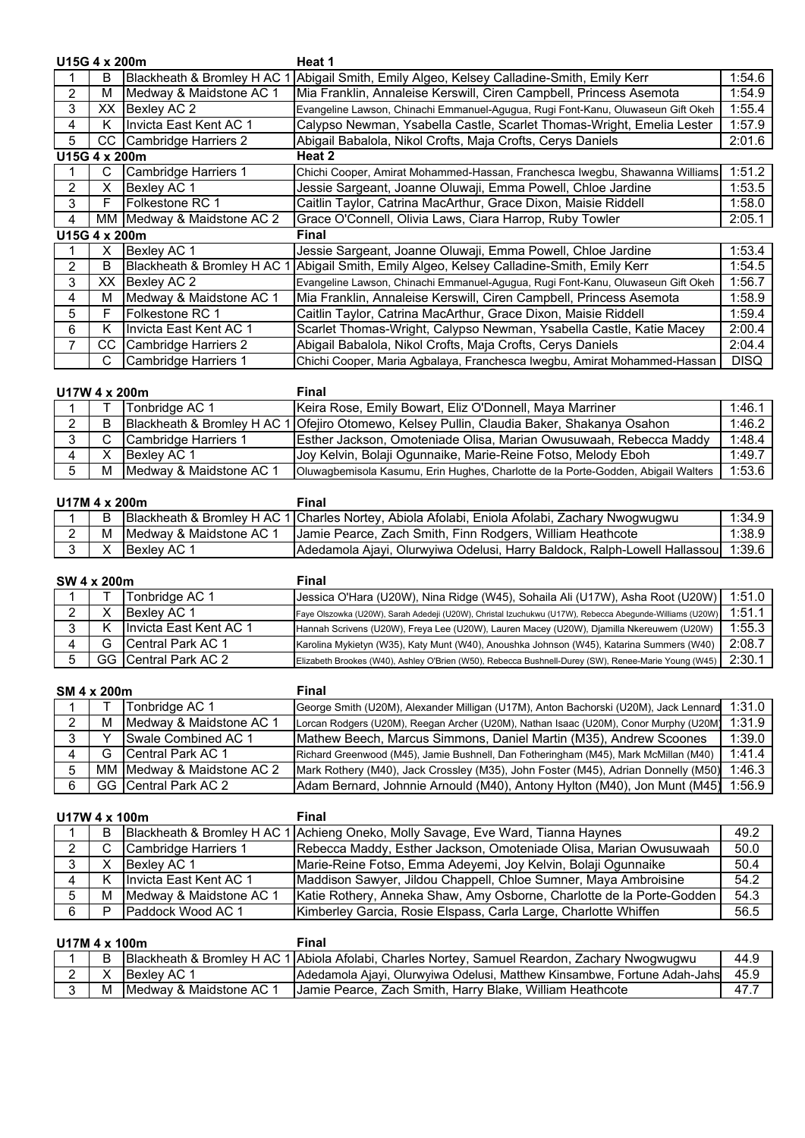|                | U15G 4 x 200m |                             | Heat 1                                                                           |             |
|----------------|---------------|-----------------------------|----------------------------------------------------------------------------------|-------------|
|                | в             | Blackheath & Bromley H AC   | Abigail Smith, Emily Algeo, Kelsey Calladine-Smith, Emily Kerr                   | 1:54.6      |
| 2              | м             | Medway & Maidstone AC 1     | Mia Franklin, Annaleise Kerswill, Ciren Campbell, Princess Asemota               | 1:54.9      |
| 3.             | XX.           | Bexley AC 2                 | Evangeline Lawson, Chinachi Emmanuel-Agugua, Rugi Font-Kanu, Oluwaseun Gift Okeh | 1:55.4      |
| 4              | K.            | Invicta East Kent AC 1      | Calypso Newman, Ysabella Castle, Scarlet Thomas-Wright, Emelia Lester            | 1:57.9      |
| 5              | CC.           | Cambridge Harriers 2        | Abigail Babalola, Nikol Crofts, Maja Crofts, Cerys Daniels                       | 2:01.6      |
|                | U15G 4 x 200m |                             | Heat 2                                                                           |             |
|                | С             | <b>Cambridge Harriers 1</b> | Chichi Cooper, Amirat Mohammed-Hassan, Franchesca Iwegbu, Shawanna Williams      | 1:51.2      |
| $\overline{2}$ | х             | Bexley AC 1                 | Jessie Sargeant, Joanne Oluwaji, Emma Powell, Chloe Jardine                      | 1:53.5      |
| 3              | F             | Folkestone RC 1             | Caitlin Taylor, Catrina MacArthur, Grace Dixon, Maisie Riddell                   | 1:58.0      |
| 4              |               | MM Medway & Maidstone AC 2  | Grace O'Connell, Olivia Laws, Ciara Harrop, Ruby Towler                          | 2:05.1      |
|                | U15G 4 x 200m |                             | Final                                                                            |             |
|                | х             | Bexley AC 1                 | Jessie Sargeant, Joanne Oluwaji, Emma Powell, Chloe Jardine                      | 1:53.4      |
| 2              | в             | Blackheath & Bromley H AC   | Abigail Smith, Emily Algeo, Kelsey Calladine-Smith, Emily Kerr                   | 1:54.5      |
| 3              | XX.           | Bexley AC 2                 | Evangeline Lawson, Chinachi Emmanuel-Agugua, Rugi Font-Kanu, Oluwaseun Gift Okeh | 1:56.7      |
| 4              | м             | Medway & Maidstone AC 1     | Mia Franklin, Annaleise Kerswill, Ciren Campbell, Princess Asemota               | 1:58.9      |
| 5.             | F             | Folkestone RC 1             | Caitlin Taylor, Catrina MacArthur, Grace Dixon, Maisie Riddell                   | 1:59.4      |
| 6              | Κ             | Invicta East Kent AC 1      | Scarlet Thomas-Wright, Calypso Newman, Ysabella Castle, Katie Macey              | 2:00.4      |
|                | CC.           | Cambridge Harriers 2        | Abigail Babalola, Nikol Crofts, Maja Crofts, Cerys Daniels                       | 2:04.4      |
|                | С             | Cambridge Harriers 1        | Chichi Cooper, Maria Agbalaya, Franchesca Iwegbu, Amirat Mohammed-Hassan         | <b>DISQ</b> |

| U17W 4 x 200m |   |                                     | Final                                                                                      |        |
|---------------|---|-------------------------------------|--------------------------------------------------------------------------------------------|--------|
|               |   | Tonbridge AC 1                      | Keira Rose, Emily Bowart, Eliz O'Donnell, Maya Marriner                                    | 1:46.1 |
|               | В |                                     | Blackheath & Bromley H AC 1 Ofejiro Otomewo, Kelsey Pullin, Claudia Baker, Shakanya Osahon | 1:46.2 |
|               |   | Cambridge Harriers 1                | Esther Jackson, Omoteniade Olisa, Marian Owusuwaah, Rebecca Maddy                          | 1:48.4 |
|               |   | Bexley AC 1                         | Joy Kelvin, Bolaji Ogunnaike, Marie-Reine Fotso, Melody Eboh                               | 1:49.7 |
|               | м | <b>IMedway &amp; Maidstone AC 1</b> | Oluwagbemisola Kasumu, Erin Hughes, Charlotte de la Porte-Godden, Abigail Walters          | 1:53.6 |

| U17M 4 x 200m |  |                            | Final                                                                                         |        |
|---------------|--|----------------------------|-----------------------------------------------------------------------------------------------|--------|
|               |  |                            | Blackheath & Bromley H AC 1 Charles Nortey, Abiola Afolabi, Eniola Afolabi, Zachary Nwogwugwu | 1:34.9 |
|               |  | M IMedway & Maidstone AC 1 | Jamie Pearce, Zach Smith, Finn Rodgers, William Heathcote                                     | 1:38.9 |
|               |  | Bexley AC 1                | Adedamola Ajayi, Olurwyiwa Odelusi, Harry Baldock, Ralph-Lowell Hallassou   1:39.6            |        |

| SW 4 x 200m |  |                           | Final                                                                                                   |        |
|-------------|--|---------------------------|---------------------------------------------------------------------------------------------------------|--------|
|             |  | Tonbridge AC 1            | Jessica O'Hara (U20W), Nina Ridge (W45), Sohaila Ali (U17W), Asha Root (U20W)                           | 1:51.0 |
|             |  | Bexley AC 1               | Faye Olszowka (U20W), Sarah Adedeji (U20W), Christal Izuchukwu (U17W), Rebecca Abegunde-Williams (U20W) | 1:51.1 |
|             |  | Invicta East Kent AC 1    | Hannah Scrivens (U20W), Freya Lee (U20W), Lauren Macey (U20W), Djamilla Nkereuwem (U20W)                | 1:55.3 |
|             |  | <b>ICentral Park AC 1</b> | Karolina Mykietyn (W35), Katy Munt (W40), Anoushka Johnson (W45), Katarina Summers (W40)                | 2:08.7 |
|             |  | GG Central Park AC 2      | Elizabeth Brookes (W40), Ashley O'Brien (W50), Rebecca Bushnell-Durey (SW), Renee-Marie Young (W45)     | 2:30.1 |

| SM 4 x 200m |    |                             | Final                                                                                 |        |
|-------------|----|-----------------------------|---------------------------------------------------------------------------------------|--------|
|             |    | Tonbridge AC 1              | George Smith (U20M), Alexander Milligan (U17M), Anton Bachorski (U20M), Jack Lennard  | 1:31.0 |
| 2           | м  | Medway & Maidstone AC 1     | Lorcan Rodgers (U20M), Reegan Archer (U20M), Nathan Isaac (U20M), Conor Murphy (U20M) | 1:31.9 |
| 3           |    | <b>Swale Combined AC 1</b>  | Mathew Beech, Marcus Simmons, Daniel Martin (M35), Andrew Scoones                     | 1:39.0 |
|             | G. | <b>ICentral Park AC 1</b>   | Richard Greenwood (M45), Jamie Bushnell, Dan Fotheringham (M45), Mark McMillan (M40)  | 1:41.4 |
| $5^{\circ}$ |    | MM IMedway & Maidstone AC 2 | [Mark Rothery (M40), Jack Crossley (M35), John Foster (M45), Adrian Donnelly (M50)    | 1:46.3 |
| 6           |    | GG Central Park AC 2        | Adam Bernard, Johnnie Arnould (M40), Antony Hylton (M40), Jon Munt (M45)              | 1:56.9 |

| U17W 4 x 100m |   |                         | Final                                                                            |      |
|---------------|---|-------------------------|----------------------------------------------------------------------------------|------|
|               | в |                         | Blackheath & Bromley H AC 1 Achieng Oneko, Molly Savage, Eve Ward, Tianna Haynes | 49.2 |
|               | C | Cambridge Harriers 1    | Rebecca Maddy, Esther Jackson, Omoteniade Olisa, Marian Owusuwaah                | 50.0 |
|               |   | Bexley AC 1             | Marie-Reine Fotso, Emma Adeyemi, Joy Kelvin, Bolaji Ogunnaike                    | 50.4 |
|               |   | Invicta East Kent AC 1  | Maddison Sawyer, Jildou Chappell, Chloe Sumner, Maya Ambroisine                  | 54.2 |
| 5             | м | Medway & Maidstone AC 1 | Katie Rothery, Anneka Shaw, Amy Osborne, Charlotte de la Porte-Godden            | 54.3 |
| 6             | D | Paddock Wood AC 1       | Kimberley Garcia, Rosie Elspass, Carla Large, Charlotte Whiffen                  | 56.5 |

| U17M 4 x 100m |   |                         | Final                                                                                         |      |
|---------------|---|-------------------------|-----------------------------------------------------------------------------------------------|------|
|               |   |                         | Blackheath & Bromley H AC 1 Abiola Afolabi, Charles Nortey, Samuel Reardon, Zachary Nwogwugwu | 44.9 |
|               |   | Bexlev AC 1             | Adedamola Ajayi, Olurwyiwa Odelusi, Matthew Kinsambwe, Fortune Adah-Jahs                      | 45.9 |
|               | м | Medway & Maidstone AC 1 | Jamie Pearce, Zach Smith, Harry Blake, William Heathcote                                      | 47.7 |